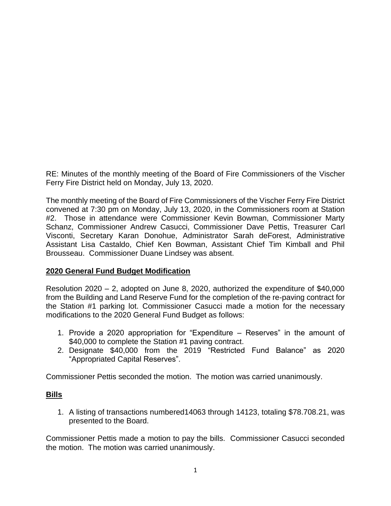RE: Minutes of the monthly meeting of the Board of Fire Commissioners of the Vischer Ferry Fire District held on Monday, July 13, 2020.

The monthly meeting of the Board of Fire Commissioners of the Vischer Ferry Fire District convened at 7:30 pm on Monday, July 13, 2020, in the Commissioners room at Station #2. Those in attendance were Commissioner Kevin Bowman, Commissioner Marty Schanz, Commissioner Andrew Casucci, Commissioner Dave Pettis, Treasurer Carl Visconti, Secretary Karan Donohue, Administrator Sarah deForest, Administrative Assistant Lisa Castaldo, Chief Ken Bowman, Assistant Chief Tim Kimball and Phil Brousseau. Commissioner Duane Lindsey was absent.

### **2020 General Fund Budget Modification**

Resolution 2020 – 2, adopted on June 8, 2020, authorized the expenditure of \$40,000 from the Building and Land Reserve Fund for the completion of the re-paving contract for the Station #1 parking lot. Commissioner Casucci made a motion for the necessary modifications to the 2020 General Fund Budget as follows:

- 1. Provide a 2020 appropriation for "Expenditure Reserves" in the amount of \$40,000 to complete the Station #1 paving contract.
- 2. Designate \$40,000 from the 2019 "Restricted Fund Balance" as 2020 "Appropriated Capital Reserves".

Commissioner Pettis seconded the motion. The motion was carried unanimously.

# **Bills**

1. A listing of transactions numbered14063 through 14123, totaling \$78.708.21, was presented to the Board.

Commissioner Pettis made a motion to pay the bills. Commissioner Casucci seconded the motion. The motion was carried unanimously.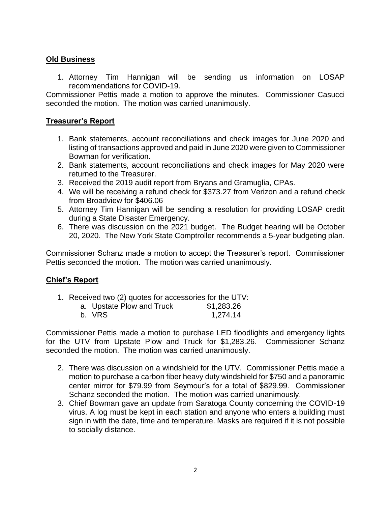# **Old Business**

1. Attorney Tim Hannigan will be sending us information on LOSAP recommendations for COVID-19.

Commissioner Pettis made a motion to approve the minutes. Commissioner Casucci seconded the motion. The motion was carried unanimously.

### **Treasurer's Report**

- 1. Bank statements, account reconciliations and check images for June 2020 and listing of transactions approved and paid in June 2020 were given to Commissioner Bowman for verification.
- 2. Bank statements, account reconciliations and check images for May 2020 were returned to the Treasurer.
- 3. Received the 2019 audit report from Bryans and Gramuglia, CPAs.
- 4. We will be receiving a refund check for \$373.27 from Verizon and a refund check from Broadview for \$406.06
- 5. Attorney Tim Hannigan will be sending a resolution for providing LOSAP credit during a State Disaster Emergency.
- 6. There was discussion on the 2021 budget. The Budget hearing will be October 20, 2020. The New York State Comptroller recommends a 5-year budgeting plan.

Commissioner Schanz made a motion to accept the Treasurer's report. Commissioner Pettis seconded the motion. The motion was carried unanimously.

### **Chief's Report**

1. Received two (2) quotes for accessories for the UTV:

| a. Upstate Plow and Truck | \$1,283.26 |
|---------------------------|------------|
| b. VRS                    | 1,274.14   |

Commissioner Pettis made a motion to purchase LED floodlights and emergency lights for the UTV from Upstate Plow and Truck for \$1,283.26. Commissioner Schanz seconded the motion. The motion was carried unanimously.

- 2. There was discussion on a windshield for the UTV. Commissioner Pettis made a motion to purchase a carbon fiber heavy duty windshield for \$750 and a panoramic center mirror for \$79.99 from Seymour's for a total of \$829.99. Commissioner Schanz seconded the motion. The motion was carried unanimously.
- 3. Chief Bowman gave an update from Saratoga County concerning the COVID-19 virus. A log must be kept in each station and anyone who enters a building must sign in with the date, time and temperature. Masks are required if it is not possible to socially distance.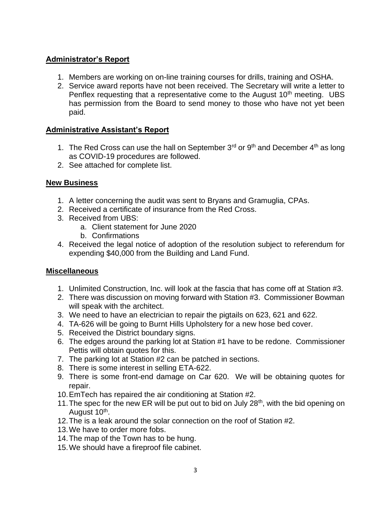# **Administrator's Report**

- 1. Members are working on on-line training courses for drills, training and OSHA.
- 2. Service award reports have not been received. The Secretary will write a letter to Penflex requesting that a representative come to the August  $10<sup>th</sup>$  meeting. UBS has permission from the Board to send money to those who have not yet been paid.

### **Administrative Assistant's Report**

- 1. The Red Cross can use the hall on September  $3^{rd}$  or  $9^{th}$  and December  $4^{th}$  as long as COVID-19 procedures are followed.
- 2. See attached for complete list.

### **New Business**

- 1. A letter concerning the audit was sent to Bryans and Gramuglia, CPAs.
- 2. Received a certificate of insurance from the Red Cross.
- 3. Received from UBS:
	- a. Client statement for June 2020
	- b. Confirmations
- 4. Received the legal notice of adoption of the resolution subject to referendum for expending \$40,000 from the Building and Land Fund.

# **Miscellaneous**

- 1. Unlimited Construction, Inc. will look at the fascia that has come off at Station #3.
- 2. There was discussion on moving forward with Station #3. Commissioner Bowman will speak with the architect.
- 3. We need to have an electrician to repair the pigtails on 623, 621 and 622.
- 4. TA-626 will be going to Burnt Hills Upholstery for a new hose bed cover.
- 5. Received the District boundary signs.
- 6. The edges around the parking lot at Station #1 have to be redone. Commissioner Pettis will obtain quotes for this.
- 7. The parking lot at Station #2 can be patched in sections.
- 8. There is some interest in selling ETA-622.
- 9. There is some front-end damage on Car 620. We will be obtaining quotes for repair.
- 10.EmTech has repaired the air conditioning at Station #2.
- 11. The spec for the new ER will be put out to bid on July  $28<sup>th</sup>$ , with the bid opening on August 10<sup>th</sup>.
- 12.The is a leak around the solar connection on the roof of Station #2.
- 13.We have to order more fobs.
- 14.The map of the Town has to be hung.
- 15.We should have a fireproof file cabinet.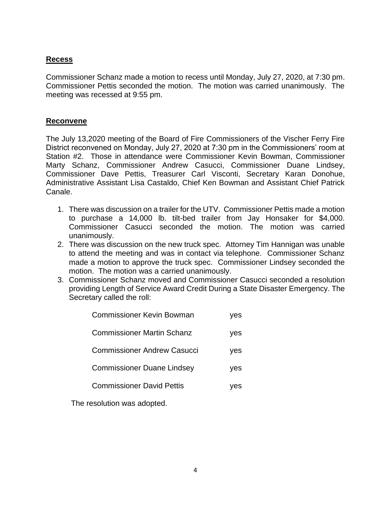## **Recess**

Commissioner Schanz made a motion to recess until Monday, July 27, 2020, at 7:30 pm. Commissioner Pettis seconded the motion. The motion was carried unanimously. The meeting was recessed at 9:55 pm.

#### **Reconvene**

The July 13,2020 meeting of the Board of Fire Commissioners of the Vischer Ferry Fire District reconvened on Monday, July 27, 2020 at 7:30 pm in the Commissioners' room at Station #2. Those in attendance were Commissioner Kevin Bowman, Commissioner Marty Schanz, Commissioner Andrew Casucci, Commissioner Duane Lindsey, Commissioner Dave Pettis, Treasurer Carl Visconti, Secretary Karan Donohue, Administrative Assistant Lisa Castaldo, Chief Ken Bowman and Assistant Chief Patrick Canale.

- 1. There was discussion on a trailer for the UTV. Commissioner Pettis made a motion to purchase a 14,000 lb. tilt-bed trailer from Jay Honsaker for \$4,000. Commissioner Casucci seconded the motion. The motion was carried unanimously.
- 2. There was discussion on the new truck spec. Attorney Tim Hannigan was unable to attend the meeting and was in contact via telephone. Commissioner Schanz made a motion to approve the truck spec. Commissioner Lindsey seconded the motion. The motion was a carried unanimously.
- 3. Commissioner Schanz moved and Commissioner Casucci seconded a resolution providing Length of Service Award Credit During a State Disaster Emergency. The Secretary called the roll:

| <b>Commissioner Kevin Bowman</b>  | yes |
|-----------------------------------|-----|
| Commissioner Martin Schanz        | yes |
| Commissioner Andrew Casucci       | yes |
| <b>Commissioner Duane Lindsey</b> | ves |
| <b>Commissioner David Pettis</b>  | es  |
|                                   |     |

The resolution was adopted.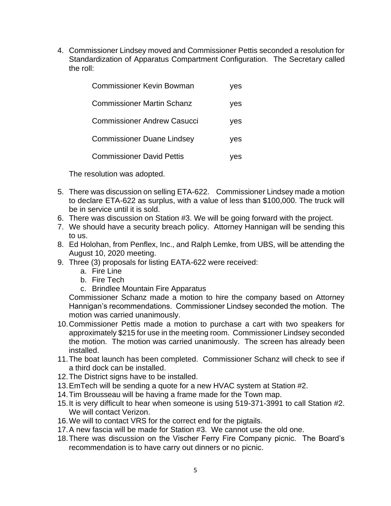4. Commissioner Lindsey moved and Commissioner Pettis seconded a resolution for Standardization of Apparatus Compartment Configuration. The Secretary called the roll:

| <b>Commissioner Kevin Bowman</b>   | ves |
|------------------------------------|-----|
| <b>Commissioner Martin Schanz</b>  | yes |
| <b>Commissioner Andrew Casucci</b> | yes |
| <b>Commissioner Duane Lindsey</b>  | yes |
| <b>Commissioner David Pettis</b>   | ves |

The resolution was adopted.

- 5. There was discussion on selling ETA-622. Commissioner Lindsey made a motion to declare ETA-622 as surplus, with a value of less than \$100,000. The truck will be in service until it is sold.
- 6. There was discussion on Station #3. We will be going forward with the project.
- 7. We should have a security breach policy. Attorney Hannigan will be sending this to us.
- 8. Ed Holohan, from Penflex, Inc., and Ralph Lemke, from UBS, will be attending the August 10, 2020 meeting.
- 9. Three (3) proposals for listing EATA-622 were received:
	- a. Fire Line
	- b. Fire Tech
	- c. Brindlee Mountain Fire Apparatus

Commissioner Schanz made a motion to hire the company based on Attorney Hannigan's recommendations. Commissioner Lindsey seconded the motion. The motion was carried unanimously.

- 10.Commissioner Pettis made a motion to purchase a cart with two speakers for approximately \$215 for use in the meeting room. Commissioner Lindsey seconded the motion. The motion was carried unanimously. The screen has already been installed.
- 11.The boat launch has been completed. Commissioner Schanz will check to see if a third dock can be installed.
- 12.The District signs have to be installed.
- 13.EmTech will be sending a quote for a new HVAC system at Station #2.
- 14.Tim Brousseau will be having a frame made for the Town map.
- 15.It is very difficult to hear when someone is using 519-371-3991 to call Station #2. We will contact Verizon.
- 16.We will to contact VRS for the correct end for the pigtails.
- 17.A new fascia will be made for Station #3. We cannot use the old one.
- 18.There was discussion on the Vischer Ferry Fire Company picnic. The Board's recommendation is to have carry out dinners or no picnic.